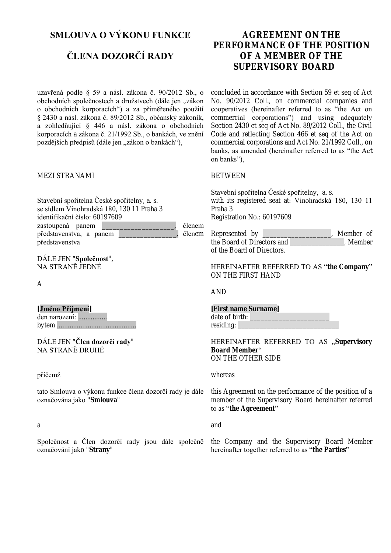# **SMLOUVA O VÝKONU FUNKCE**

# **ČLENA DOZORČÍ RADY**

uzavřená podle § 59 a násl. zákona č. 90/2012 Sb., o obchodních společnostech a družstvech (dále jen "zákon o obchodních korporacích") a za přiměřeného použití § 2430 a násl. zákona č. 89/2012 Sb., občanský zákoník, a zohledňující § 446 a násl. zákona o obchodních korporacích a zákona č. 21/1992 Sb., o bankách, ve znění pozdějších předpisů (dále jen "zákon o bankách"),

#### MEZI STRANAMI

Stavební spořitelna České spořitelny, a. s. se sídlem Vinohradská 180, 130 11 Praha 3 identifikační číslo: 60197609 zastoupená panem \_\_\_\_\_\_\_\_\_\_\_\_\_\_\_\_\_\_\_\_, členem představenstva, a panem \_\_\_\_\_\_\_\_\_\_\_\_\_\_\_\_, členem představenstva

DÁLE JEN "**Společnost**", NA STRANĚ JEDNÉ

A

**[Jméno Příjmení]**  den narození: ................ bytem ............................................

DÁLE JEN "**Člen dozorčí rady**" NA STRANĚ DRUHÉ

#### přičemž

tato Smlouva o výkonu funkce člena dozorčí rady je dále označována jako "**Smlouva**"

#### a

Společnost a Člen dozorčí rady jsou dále společně označováni jako "**Strany**"

# **AGREEMENT ON THE PERFORMANCE OF THE POSITION OF A MEMBER OF THE SUPERV ISORY BOARD**

concluded in accordance with Section 59 et seq of Act No. 90/2012 Coll., on commercial companies and cooperatives (hereinafter referred to as "the Act on commercial corporations") and using adequately Section 2430 et seq of Act No. 89/2012 Coll., the Civil Code and reflecting Section 466 et seq of the Act on commercial corporations and Act No. 21/1992 Coll., on banks, as amended (hereinafter referred to as "the Act on banks"),

#### BETWEEN

Stavební spořitelna České spořitelny, a. s. with its registered seat at: Vinohradská 180, 130 11 Praha 3 Registration No.: 60197609

| Represented by             | Member of |
|----------------------------|-----------|
| the Board of Directors and | , Member  |
| of the Board of Directors. |           |

HEREINAFTER REFERRED TO AS "**the Company**" ON THE FIRST HAND

AND

**[First name Surname]**  date of birth: residing:

HEREINAFTER REFERRED TO AS "Supervisory **Board Member**" ON THE OTHER SIDE

whereas

this Agreement on the performance of the position of a member of the Supervisory Board hereinafter referred to as "**the A greement**"

and

the Company and the Supervisory Board Member hereinafter together referred to as "**the Parties**"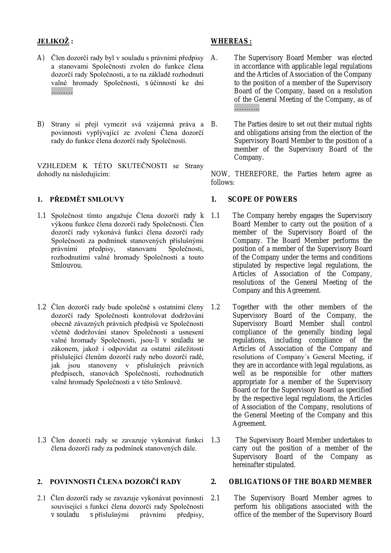# **JELIKOŽ :**

- A) Člen dozorčí rady byl v souladu s právními předpisy A. a stanovami Společnosti zvolen do funkce člena dozorčí rady Společnosti, a to na základě rozhodnutí valné hromady Společnosti, s účinností ke dni ………
- B) Strany si přejí vymezit svá vzájemná práva a B. povinnosti vyplývající ze zvolení Člena dozorčí rady do funkce člena dozorčí rady Společnosti.

VZHLEDEM K TÉTO SKUTEČNOSTI se Strany dohodly na následujícím:

# **1. PŘEDMĚT SMLOUVY**

- 1.1 Společnost tímto angažuje Člena dozorčí rady k výkonu funkce člena dozorčí rady Společnosti. Člen dozorčí rady vykonává funkci člena dozorčí rady Společnosti za podmínek stanovených příslušnými právními předpisy, stanovami Společnosti, rozhodnutími valné hromady Společnosti a touto Smlouvou.
- 1.2 Člen dozorčí rady bude společně s ostatními členy dozorčí rady Společnosti kontrolovat dodržování obecně závazných právních předpisů ve Společnosti včetně dodržování stanov Společnosti a usnesení valné hromady Společnosti, jsou-li v souladu se zákonem, jakož i odpovídat za ostatní záležitosti příslušející členům dozorčí rady nebo dozorčí radě, jak jsou stanoveny v příslušných právních předpisech, stanovách Společnosti, rozhodnutích valné hromady Společnosti a v této Smlouvě.
- 1.3 Člen dozorčí rady se zavazuje vykonávat funkci člena dozorčí rady za podmínek stanovených dále.

# **2. POVINNOSTI ČLENA DOZORČÍ RADY**

2.1 Člen dozorčí rady se zavazuje vykonávat povinnosti související s funkcí člena dozorčí rady Společnosti v souladu s příslušnými právními předpisy,

# **WHEREAS:**

- The Supervisory Board Member was elected in accordance with applicable legal regulations and the Articles of Association of the Company to the position of a member of the Supervisory Board of the Company, based on a resolution of the General Meeting of the Company, as of …………
	- The Parties desire to set out their mutual rights and obligations arising from the election of the Supervisory Board Member to the position of a member of the Supervisory Board of the Company.

NOW, THEREFORE, the Parties hetero agree as follows:

## **1. SCOPE OF POW ERS**

- The Company hereby engages the Supervisory Board Member to carry out the position of a member of the Supervisory Board of the Company. The Board Member performs the position of a member of the Supervisory Board of the Company under the terms and conditions stipulated by respective legal regulations, the Articles of Association of the Company, resolutions of the General Meeting of the Company and this Agreement.
- Together with the other members of the Supervisory Board of the Company, the Supervisory Board Member shall control compliance of the generally binding legal regulations, including compliance of the Articles of Association of the Company and resolutions of Company´s General Meeting, if they are in accordance with legal regulations, as well as be responsible for other matters appropriate for a member of the Supervisory Board or for the Supervisory Board as specified by the respective legal regulations, the Articles of Association of the Company, resolutions of the General Meeting of the Company and this Agreement.
- The Supervisory Board Member undertakes to carry out the position of a member of the Supervisory Board of the Company as hereinafter stipulated.

#### **2. OBL IGA TIONS OF THE BOARD MEMBER**

2.1 The Supervisory Board Member agrees to perform his obligations associated with the office of the member of the Supervisory Board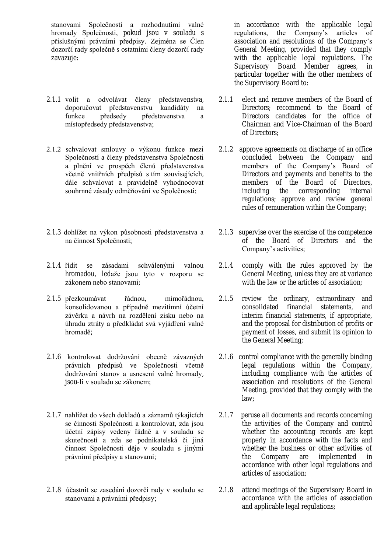stanovami Společnosti a rozhodnutími valné hromady Společnosti, pokud jsou v souladu s příslušnými právními předpisy. Zejména se Člen dozorčí rady společně s ostatními členy dozorčí rady zavazuje:

- 2.1.1 volit a odvolávat členy představenstva, doporučovat představenstvu kandidáty na funkce předsedy představenstva a místopředsedy představenstva;
- 2.1.2 schvalovat smlouvy o výkonu funkce mezi Společností a členy představenstva Společnosti a plnění ve prospěch členů představenstva včetně vnitřních předpisů s tím souvisejících, dále schvalovat a pravidelně vyhodnocovat souhrnné zásady odměňování ve Společnosti;
- 2.1.3 dohlížet na výkon působnosti představenstva a na činnost Společnosti;
- 2.1.4 řídit se zásadami schválenými valnou hromadou, ledaže jsou tyto v rozporu se zákonem nebo stanovami;
- 2.1.5 přezkoumávat řádnou, mimořádnou, konsolidovanou a případně mezitímní účetní závěrku a návrh na rozdělení zisku nebo na úhradu ztráty a předkládat svá vyjádření valné hromadě;
- 2.1.6 kontrolovat dodržování obecně závazných právních předpisů ve Společnosti včetně dodržování stanov a usnesení valné hromady, jsou-li v souladu se zákonem;
- 2.1.7 nahlížet do všech dokladů a záznamů týkajících se činnosti Společnosti a kontrolovat, zda jsou účetní zápisy vedeny řádně a v souladu se skutečností a zda se podnikatelská či jiná činnost Společnosti děje v souladu s jinými právními předpisy a stanovami;
- 2.1.8 účastnit se zasedání dozorčí rady v souladu se stanovami a právními předpisy;

in accordance with the applicable legal regulations, the Company's articles of association and resolutions of the Company's General Meeting, provided that they comply with the applicable legal regulations. The Supervisory Board Member agrees, in particular together with the other members of the Supervisory Board to:

- 2.1.1 elect and remove members of the Board of Directors; recommend to the Board of Directors candidates for the office of Chairman and V ice-Chairman of the Board of Directors;
- 2.1.2 approve agreements on discharge of an office concluded between the Company and members of the Company's Board of Directors and payments and benefits to the members of the Board of Directors, including the corresponding internal regulations; approve and review general rules of remuneration within the Company;
- 2.1.3 supervise over the exercise of the competence of the Board of Directors and the Company's activities;
- 2.1.4 comply with the rules approved by the General Meeting, unless they are at variance with the law or the articles of association;
- 2.1.5 review the ordinary, extraordinary and consolidated financial statements, and interim financial statements, if appropriate, and the proposal for distribution of profits or payment of losses, and submit its opinion to the General Meeting;
- 2.1.6 control compliance with the generally binding legal regulations within the Company, including compliance with the articles of association and resolutions of the General Meeting, provided that they comply with the law;
- 2.1.7 peruse all documents and records concerning the activities of the Company and control whether the accounting records are kept properly in accordance with the facts and whether the business or other activities of<br>the Company are implemented in the Company are implemented in accordance with other legal regulations and articles of association;
- 2.1.8 attend meetings of the Supervisory Board in accordance with the articles of association and applicable legal regulations;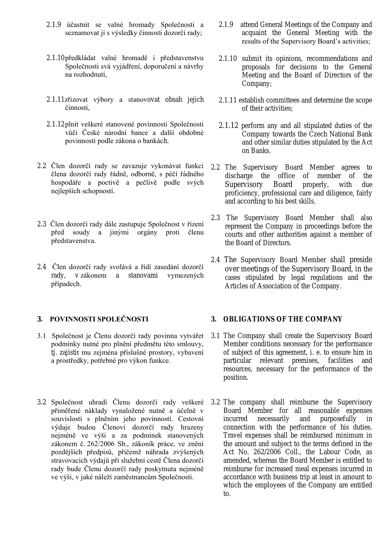- 2.1.9 účastnit se valné hromady Společnosti a seznamovat jí s výsledky činnosti dozorčí rady;
- 2.1.10 předkládat valné hromadě i představenstvu Společnosti svá vyjádření, doporučení a návrhy na rozhodnutí,
- 2.1.11zřizovat výbory a stanovovat obsah jejich činnosti,
- 2.1.12plnit veškeré stanovené povinnosti Společnosti vůči České národní bance a další obdobné povinnosti podle zákona o bankách.
- 2.2 Člen dozorčí rady se zavazuje vykonávat funkci člena dozorčí rady řádně, odborně, s péčí řádného hospodáře a poctivě a pečlivě podle svých nejlepších schopností.
- 2.3 Člen dozorčí rady dále zastupuje Společnost v řízení před soudy a jinými orgány proti členu představenstva.
- 2.4 Člen dozorčí rady svolává a řídí zasedání dozorčí rady, v zákonem a stanovami vymezených případech.

# **3. POVINNOSTI SPOLEČNOSTI**

- 3.1 Společnost je Členu dozorčí rady povinna vytvářet podmínky nutné pro plnění předmětu této smlouvy, tj. zajistit mu zejména příslušné prostory, vybavení a prostředky, potřebné pro výkon funkce.
- 3.2 Společnost uhradí Členu dozorčí rady veškeré přiměřené náklady vynaložené nutně a účelně v souvislosti s plněním jeho povinností. Cestovní výdaje budou Členovi dozorčí rady hrazeny nejméně ve výši a za podmínek stanovených zákonem č. 262/2006 Sb., zákoník práce, ve znění pozdějších předpisů, přičemž náhrada zvýšených stravovacích výdajů při služební cestě Člena dozorčí rady bude Členu dozorčí rady poskytnuta nejméně ve výši, v jaké náleží zaměstnancům Společnosti.
- 2.1.9 attend General Meetings of the Company and acquaint the General Meeting with the results of the Supervisory Board's activities;
- 2.1.10 submit its opinions, recommendations and proposals for decisions to the General Meeting and the Board of Directors of the Company;
- 2.1.11 establish committees and determine the scope of their activities;
- 2.1.12 perform any and all stipulated duties of the Company towards the Czech National Bank and other similar duties stipulated by the Act on Banks.
- 2.2 The Supervisory Board Member agrees to discharge the office of member of the Supervisory Board properly, with due proficiency, professional care and diligence, fairly and according to his best skills.
- 2.3 The Supervisory Board Member shall also represent the Company in proceedings before the courts and other authorities against a member of the Board of Directors.
- 2.4 The Supervisory Board Member shall preside over meetings of the Supervisory Board, in the cases stipulated by legal regulations and the Articles of Association of the Company.

#### **3. OBL IGA TIONS OF THE COMPANY**

- 3.1 The Company shall create the Supervisory Board Member conditions necessary for the performance of subject of this agreement, i. e. to ensure him in particular relevant premises, facilities and resources, necessary for the performance of the position.
- 3.2 The company shall reimburse the Supervisory Board Member for all reasonable expenses incurred necessarily and purposefully in connection with the performance of his duties. Travel expenses shall be reimbursed minimum in the amount and subject to the terms defined in the Act No. 262/2006 Coll., the Labour Code, as amended, whereas the Board Member is entitled to reimburse for increased meal expenses incurred in accordance with business trip at least in amount to which the employees of the Company are entitled to.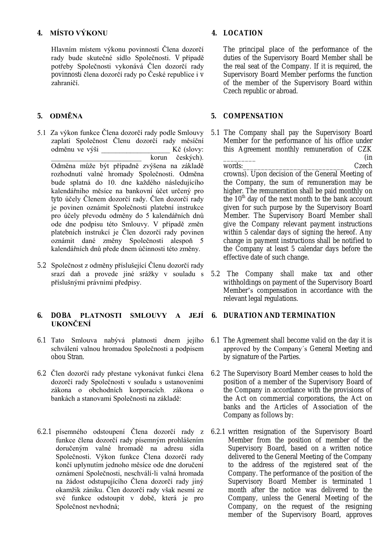# **4. MÍSTO VÝKONU**

Hlavním místem výkonu povinností Člena dozorčí rady bude skutečné sídlo Společnosti. V případě potřeby Společnosti vykonává Člen dozorčí rady povinnosti člena dozorčí rady po České republice i v zahraničí.

# **5. ODMĚNA**

- 5.1 Za výkon funkce Člena dozorčí rady podle Smlouvy zaplatí Společnost Členu dozorčí rady měsíční odměnu ve výši \_\_\_\_\_\_\_\_\_\_\_\_\_\_\_\_\_\_\_ Kč (slovy: korun českých). Odměna může být případně zvýšena na základě rozhodnutí valné hromady Společnosti. Odměna bude splatná do 10. dne každého následujícího kalendářního měsíce na bankovní účet určený pro tyto účely Členem dozorčí rady. Člen dozorčí rady je povinen oznámit Společnosti platební instrukce pro účely převodu odměny do 5 kalendářních dnů ode dne podpisu této Smlouvy. V případě změn platebních instrukcí je Člen dozorčí rady povinen oznámit dané změny Společnosti alespoň 5 kalendářních dnů přede dnem účinnosti této změny.
- 5.2 Společnost z odměny příslušející Členu dozorčí rady srazí daň a provede jiné srážky v souladu s příslušnými právními předpisy.

## **6. DOBA PLATNOSTI SMLOUVY A JEJÍ UKONČENÍ**

- 6.1 Tato Smlouva nabývá platnosti dnem jejího schválení valnou hromadou Společnosti a podpisem obou Stran.
- 6.2 Člen dozorčí rady přestane vykonávat funkci člena dozorčí rady Společnosti v souladu s ustanoveními zákona o obchodních korporacích, zákona o bankách a stanovami Společnosti na základě:
- 6.2.1 písemného odstoupení Člena dozorčí rady z funkce člena dozorčí rady písemným prohlášením doručeným valné hromadě na adresu sídla Společnosti. Výkon funkce Člena dozorčí rady končí uplynutím jednoho měsíce ode dne doručení oznámení Společnosti, neschválí-li valná hromada na žádost odstupujícího Člena dozorčí rady jiný okamžik zániku. Člen dozorčí rady však nesmí ze své funkce odstoupit v době, která je pro Společnost nevhodná;

# **4. LOCA TION**

The principal place of the performance of the duties of the Supervisory Board Member shall be the real seat of the Company. If it is required, the Supervisory Board Member performs the function of the member of the Supervisory Board within Czech republic or abroad.

# **5. COMPENSA TION**

- 5.1 The Company shall pay the Supervisory Board Member for the performance of his office under this Agreement monthly remuneration of CZK  $\Box$ words: The Czech contract of the Czech contract of  $C$ zech contract of  $C$ zech contract of  $C$ crowns). Upon decision of the General Meeting of the Company, the sum of remuneration may be higher. The remuneration shall be paid monthly on the  $10<sup>th</sup>$  day of the next month to the bank account given for such purpose by the Supervisory Board Member. The Supervisory Board Member shall give the Company relevant payment instructions within 5 calendar days of signing the hereof. Any change in payment instructions shall be notified to the Company at least 5 calendar days before the effective date of such change.
- 5.2 The Company shall make tax and other withholdings on payment of the Supervisory Board Member's compensation in accordance with the relevant legal regulations.

# **6. DURA TION AND TERMINA TION**

- 6.1 The Agreement shall become valid on the day it is approved by the Company´s General Meeting and by signature of the Parties.
- 6.2 The Supervisory Board Member ceases to hold the position of a member of the Supervisory Board of the Company in accordance with the provisions of the Act on commercial corporations, the Act on banks and the Articles of Association of the Company as follows by:
- 6.2.1 written resignation of the Supervisory Board Member from the position of member of the Supervisory Board, based on a written notice delivered to the General Meeting of the Company to the address of the registered seat of the Company. The performance of the position of the Supervisory Board Member is terminated 1 month after the notice was delivered to the Company, unless the General Meeting of the Company, on the request of the resigning member of the Supervisory Board, approves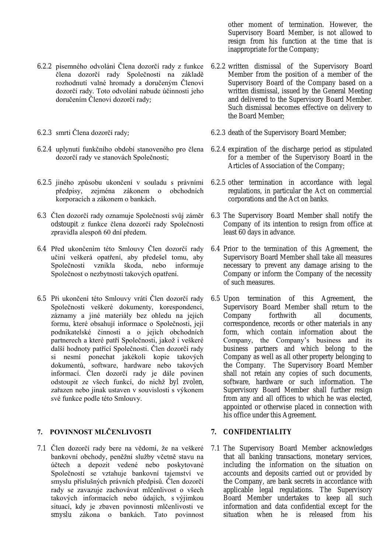- 6.2.2 písemného odvolání Člena dozorčí rady z funkce člena dozorčí rady Společnosti na základě rozhodnutí valné hromady a doručeným Členovi dozorčí rady. Toto odvolání nabude účinnosti jeho doručením Členovi dozorčí rady;
- 6.2.3 smrti Člena dozorčí rady;
- 6.2.4 uplynutí funkčního období stanoveného pro člena dozorčí rady ve stanovách Společnosti;
- 6.2.5 jiného způsobu ukončení v souladu s právními předpisy, zejména zákonem o obchodních korporacích a zákonem o bankách.
- 6.3 Člen dozorčí rady oznamuje Společnosti svůj záměr odstoupit z funkce člena dozorčí rady Společnosti zpravidla alespoň 60 dní předem.
- 6.4 Před ukončením této Smlouvy Člen dozorčí rady učiní veškerá opatření, aby předešel tomu, aby Společnosti vznikla škoda, nebo informuje Společnost o nezbytnosti takových opatření.
- 6.5 Při ukončení této Smlouvy vrátí Člen dozorčí rady Společnosti veškeré dokumenty, korespondenci, záznamy a jiné materiály bez ohledu na jejich formu, které obsahují informace o Společnosti, její podnikatelské činnosti a o jejích obchodních partnerech a které patří Společnosti, jakož i veškeré další hodnoty patřící Společnosti. Člen dozorčí rady si nesmí ponechat jakékoli kopie takových dokumentů, software, hardware nebo takových informací. Člen dozorčí rady je dále povinen odstoupit ze všech funkcí, do nichž byl zvolen, zařazen nebo jinak ustaven v souvislosti s výkonem své funkce podle této Smlouvy.

### **7. POVINNOST MLČENLIVOSTI**

7.1 Člen dozorčí rady bere na vědomí, že na veškeré bankovní obchody, peněžní služby včetně stavu na účtech a depozit vedené nebo poskytované Společností se vztahuje bankovní tajemství ve smyslu příslušných právních předpisů. Člen dozorčí rady se zavazuje zachovávat mlčenlivost o všech takových informacích nebo údajích, s výjimkou situací, kdy je zbaven povinnosti mlčenlivosti ve smyslu zákona o bankách. Tato povinnost

other moment of termination. However, the Supervisory Board Member, is not allowed to resign from his function at the time that is inappropriate for the Company;

- 6.2.2 written dismissal of the Supervisory Board Member from the position of a member of the Supervisory Board of the Company based on a written dismissal, issued by the General Meeting and delivered to the Supervisory Board Member. Such dismissal becomes effective on delivery to the Board Member;
- 6.2.3 death of the Supervisory Board Member;
- 6.2.4 expiration of the discharge period as stipulated for a member of the Supervisory Board in the Articles of Association of the Company;
- 6.2.5 other termination in accordance with legal regulations, in particular the Act on commercial corporations and the Act on banks.
- 6.3 The Supervisory Board Member shall notify the Company of its intention to resign from office at least 60 days in advance.
- 6.4 Prior to the termination of this Agreement, the Supervisory Board Member shall take all measures necessary to prevent any damage arising to the Company or inform the Company of the necessity of such measures.
- 6.5 Upon termination of this A greement, the Supervisory Board Member shall return to the Company forthwith all documents, correspondence, records or other materials in any form, which contain information about the Company, the Company's business and its business partners and which belong to the Company as well as all other property belonging to the Company. The Supervisory Board Member shall not retain any copies of such documents, software, hardware or such information. The Supervisory Board Member shall further resign from any and all offices to which he was elected, appointed or otherwise placed in connection with his office under this Agreement.

## **7. CONFIDENTIA L ITY**

7.1 The Supervisory Board Member acknowledges that all banking transactions, monetary services, including the information on the situation on accounts and deposits carried out or provided by the Company, are bank secrets in accordance with applicable legal regulations. The Supervisory Board Member undertakes to keep all such information and data confidential except for the situation when he is released from his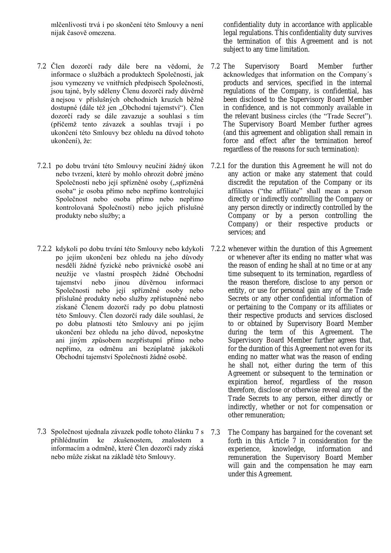mlčenlivosti trvá i po skončení této Smlouvy a není nijak časově omezena.

- 7.2 Člen dozorčí rady dále bere na vědomí, že informace o službách a produktech Společnosti, jak jsou vymezeny ve vnitřních předpisech Společnosti, jsou tajné, byly sděleny Členu dozorčí rady důvěrně a nejsou v příslušných obchodních kruzích běžně dostupné (dále též jen "Obchodní tajemství"). Člen dozorčí rady se dále zavazuje a souhlasí s tím (přičemž tento závazek a souhlas trvají i po ukončení této Smlouvy bez ohledu na důvod tohoto ukončení), že:
- 7.2.1 po dobu trvání této Smlouvy neučiní žádný úkon nebo tvrzení, které by mohlo ohrozit dobré jméno Společnosti nebo její spřízněné osoby ("spřízněná osoba" je osoba přímo nebo nepřímo kontrolující Společnost nebo osoba přímo nebo nepřímo kontrolovaná Společností) nebo jejich příslušné produkty nebo služby; a
- 7.2.2 kdykoli po dobu trvání této Smlouvy nebo kdykoli po jejím ukončení bez ohledu na jeho důvody nesdělí žádné fyzické nebo právnické osobě ani neužije ve vlastní prospěch žádné Obchodní tajemství nebo jinou důvěrnou informaci Společnosti nebo její spřízněné osoby nebo příslušné produkty nebo služby zpřístupněné nebo získané Členem dozorčí rady po dobu platnosti této Smlouvy. Člen dozorčí rady dále souhlasí, že po dobu platnosti této Smlouvy ani po jejím ukončení bez ohledu na jeho důvod, neposkytne ani jiným způsobem nezpřístupní přímo nebo nepřímo, za odměnu ani bezúplatně jakékoli Obchodní tajemství Společnosti žádné osobě.

7.3 Společnost ujednala závazek podle tohoto článku 7 s přihlédnutím ke zkušenostem, znalostem a informacím a odměně, které Člen dozorčí rady získá nebo může získat na základě této Smlouvy.

confidentiality duty in accordance with applicable legal regulations. This confidentiality duty survives the termination of this Agreement and is not subject to any time limitation.

- Supervisory Board Member further acknowledges that information on the Company´s products and services, specified in the internal regulations of the Company, is confidential, has been disclosed to the Supervisory Board Member in confidence, and is not commonly available in the relevant business circles (the "Trade Secret"). The Supervisory Board Member further agrees (and this agreement and obligation shall remain in force and effect after the termination hereof regardless of the reasons for such termination):
- 7.2.1 for the duration this Agreement he will not do any action or make any statement that could discredit the reputation of the Company or its affiliates ("the affiliate" shall mean a person directly or indirectly controlling the Company or any person directly or indirectly controlled by the Company or by a person controlling the Company) or their respective products or services; and
- 7.2.2 whenever within the duration of this Agreement or whenever after its ending no matter what was the reason of ending he shall at no time or at any time subsequent to its termination, regardless of the reason therefore, disclose to any person or entity, or use for personal gain any of the Trade Secrets or any other confidential information of or pertaining to the Company or its affiliates or their respective products and services disclosed to or obtained by Supervisory Board Member during the term of this Agreement. The Supervisory Board Member further agrees that, for the duration of this Agreement not even for its ending no matter what was the reason of ending he shall not, either during the term of this Agreement or subsequent to the termination or expiration hereof, regardless of the reason therefore, disclose or otherwise reveal any of the Trade Secrets to any person, either directly or indirectly, whether or not for compensation or other remuneration;
- The Company has bargained for the covenant set forth in this Article 7 in consideration for the experience, knowledge, information and remuneration the Supervisory Board Member will gain and the compensation he may earn under this Agreement.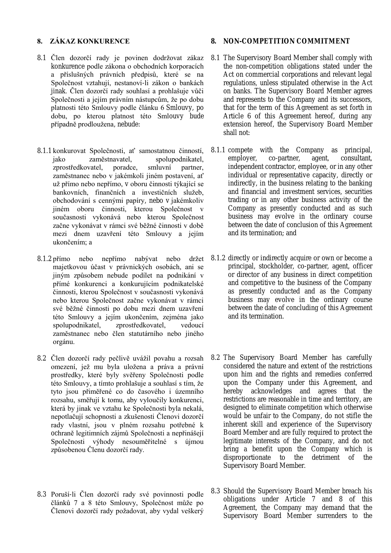### **8. ZÁKAZ KONKURENCE**

- 8.1 Člen dozorčí rady je povinen dodržovat zákaz konkurence podle zákona o obchodních korporacích a příslušných právních předpisů, které se na Společnost vztahují, nestanoví-li zákon o bankách jinak. Člen dozorčí rady souhlasí a prohlašuje vůči Společnosti a jejím právním nástupcům, že po dobu platnosti této Smlouvy podle článku 6 Smlouvy, po dobu, po kterou platnost této Smlouvy bude případně prodloužena, nebude:
- 8.1.1 konkurovat Společnosti, ať samostatnou činností, jako zaměstnavatel, spolupodnikatel, zprostředkovatel, poradce, smluvní partner, zaměstnanec nebo v jakémkoli jiném postavení, ať už přímo nebo nepřímo, v oboru činnosti týkající se bankovních, finančních a investičních služeb, obchodování s cennými papíry, nebo v jakémkoliv jiném oboru činnosti, kterou Společnost v současnosti vykonává nebo kterou Společnost začne vykonávat v rámci své běžné činnosti v době mezi dnem uzavření této Smlouvy a jejím ukončením; a
- 8.1.2 přímo nebo nepřímo nabývat nebo držet majetkovou účast v právnických osobách, ani se jiným způsobem nebude podílet na podnikání v přímé konkurenci a konkurujícím podnikatelské činnosti, kterou Společnost v současnosti vykonává nebo kterou Společnost začne vykonávat v rámci své běžné činnosti po dobu mezi dnem uzavření této Smlouvy a jejím ukončením, zejména jako spolupodnikatel, zprostředkovatel, vedoucí zaměstnanec nebo člen statutárního nebo jiného orgánu.
- 8.2 Člen dozorčí rady pečlivě uvážil povahu a rozsah omezení, jež mu byla uložena a práva a právní prostředky, které byly svěřeny Společnosti podle této Smlouvy, a tímto prohlašuje a souhlasí s tím, že tyto jsou přiměřené co do časového i územního rozsahu, směřují k tomu, aby vyloučily konkurenci, která by jinak ve vztahu ke Společnosti byla nekalá, nepotlačují schopnosti a zkušenosti Členovi dozorčí rady vlastní, jsou v plném rozsahu potřebné k ochraně legitimních zájmů Společnosti a nepřinášejí Společnosti výhody nesouměřitelné s újmou způsobenou Členu dozorčí rady.
- 8.3 Poruší-li Člen dozorčí rady své povinnosti podle článků 7 a 8 této Smlouvy, Společnost může po Členovi dozorčí rady požadovat, aby vydal veškerý

## **8. NON-COMPETITION COMMITMENT**

- 8.1 The Supervisory Board Member shall comply with the non-competition obligations stated under the Act on commercial corporations and relevant legal regulations, unless stipulated otherwise in the Act on banks. The Supervisory Board Member agrees and represents to the Company and its successors, that for the term of this Agreement as set forth in Article 6 of this Agreement hereof, during any extension hereof, the Supervisory Board Member shall not:
- 8.1.1 compete with the Company as principal, employer, co-partner, agent, consultant, independent contractor, employee, or in any other individual or representative capacity, directly or indirectly, in the business relating to the banking and financial and investment services, securities trading or in any other business activity of the Company as presently conducted and as such business may evolve in the ordinary course between the date of conclusion of this Agreement and its termination; and
- 8.1.2 directly or indirectly acquire or own or become a principal, stockholder, co-partner, agent, officer or director of any business in direct competition and competitive to the business of the Company as presently conducted and as the Company business may evolve in the ordinary course between the date of concluding of this Agreement and its termination.
- 8.2 The Supervisory Board Member has carefully considered the nature and extent of the restrictions upon him and the rights and remedies conferred upon the Company under this Agreement, and hereby acknowledges and agrees that the restrictions are reasonable in time and territory, are designed to eliminate competition which otherwise would be unfair to the Company, do not stifle the inherent skill and experience of the Supervisory Board Member and are fully required to protect the legitimate interests of the Company, and do not bring a benefit upon the Company which is disproportionate to the detriment of the Supervisory Board Member.
- 8.3 Should the Supervisory Board Member breach his obligations under Article 7 and 8 of this Agreement, the Company may demand that the Supervisory Board Member surrenders to the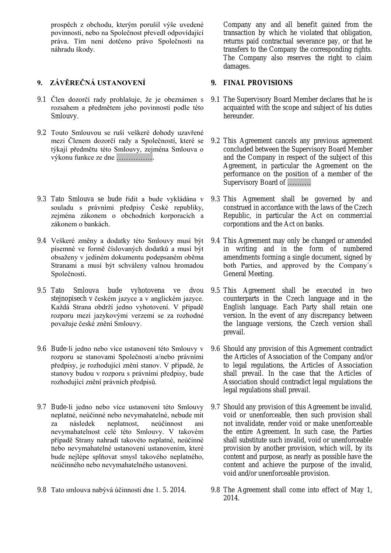prospěch z obchodu, kterým porušil výše uvedené povinnosti, nebo na Společnost převedl odpovídající práva. Tím není dotčeno právo Společnosti na náhradu škody.

# **9. ZÁVĚREČNÁ USTANOVENÍ**

- 9.1 Člen dozorčí rady prohlašuje, že je obeznámen s rozsahem a předmětem jeho povinností podle této Smlouvy.
- 9.2 Touto Smlouvou se ruší veškeré dohody uzavřené mezi Členem dozorčí rady a Společností, které se týkají předmětu této Smlouvy, zejména Smlouva o výkonu funkce ze dne …………….
- 9.3 Tato Smlouva se bude řídit a bude vykládána v souladu s právními předpisy České republiky, zejména zákonem o obchodních korporacích a zákonem o bankách.
- 9.4 Veškeré změny a dodatky této Smlouvy musí být písemné ve formě číslovaných dodatků a musí být obsaženy v jediném dokumentu podepsaném oběma Stranami a musí být schváleny valnou hromadou Společnosti.
- 9.5 Tato Smlouva bude vyhotovena ve dvou 9.5 This Agreement shall be executed in two stejnopisech v českém jazyce a v anglickém jazyce. Každá Strana obdrží jedno vyhotovení. V případě rozporu mezi jazykovými verzemi se za rozhodné považuje české znění Smlouvy.
- 9.6 Bude-li jedno nebo více ustanovení této Smlouvy v rozporu se stanovami Společnosti a/nebo právními předpisy, je rozhodující znění stanov. V případě, že stanovy budou v rozporu s právními předpisy, bude rozhodující znění právních předpisů.
- 9.7 Bude-li jedno nebo více ustanovení této Smlouvy neplatné, neúčinné nebo nevymahatelné, nebude mít za následek neplatnost, neúčinnost ani nevymahatelnost celé této Smlouvy. V takovém případě Strany nahradí takovéto neplatné, neúčinné nebo nevymahatelné ustanovení ustanovením, které bude nejlépe splňovat smysl takového neplatného, neúčinného nebo nevymahatelného ustanovení.
- 9.8 Tato smlouva nabývá účinnosti dne 1. 5. 2014.

Company any and all benefit gained from the transaction by which he violated that obligation, returns paid contractual severance pay, or that he transfers to the Company the corresponding rights. The Company also reserves the right to claim damages.

# **9. FINAL PROVISIONS**

- 9.1 The Supervisory Board Member declares that he is acquainted with the scope and subject of his duties hereunder.
- 9.2 This Agreement cancels any previous agreement concluded between the Supervisory Board Member and the Company in respect of the subject of this Agreement, in particular the Agreement on the performance on the position of a member of the Supervisory Board of ……….
- 9.3 This Agreement shall be governed by and construed in accordance with the laws of the Czech Republic, in particular the Act on commercial corporations and the Act on banks.
- 9.4 This Agreement may only be changed or amended in writing and in the form of numbered amendments forming a single document, signed by both Parties, and approved by the Company´s General Meeting.
- counterparts in the Czech language and in the English language. Each Party shall retain one version. In the event of any discrepancy between the language versions, the Czech version shall prevail.
- 9.6 Should any provision of this Agreement contradict the Articles of Association of the Company and/or to legal regulations, the Articles of Association shall prevail. In the case that the Articles of Association should contradict legal regulations the legal regulations shall prevail.
- 9.7 Should any provision of this Agreement be invalid, void or unenforceable, then such provision shall not invalidate, render void or make unenforceable the entire Agreement. In such case, the Parties shall substitute such invalid, void or unenforceable provision by another provision, which will, by its content and purpose, as nearly as possible have the content and achieve the purpose of the invalid, void and/or unenforceable provision.
- 9.8 The Agreement shall come into effect of May 1, 2014.